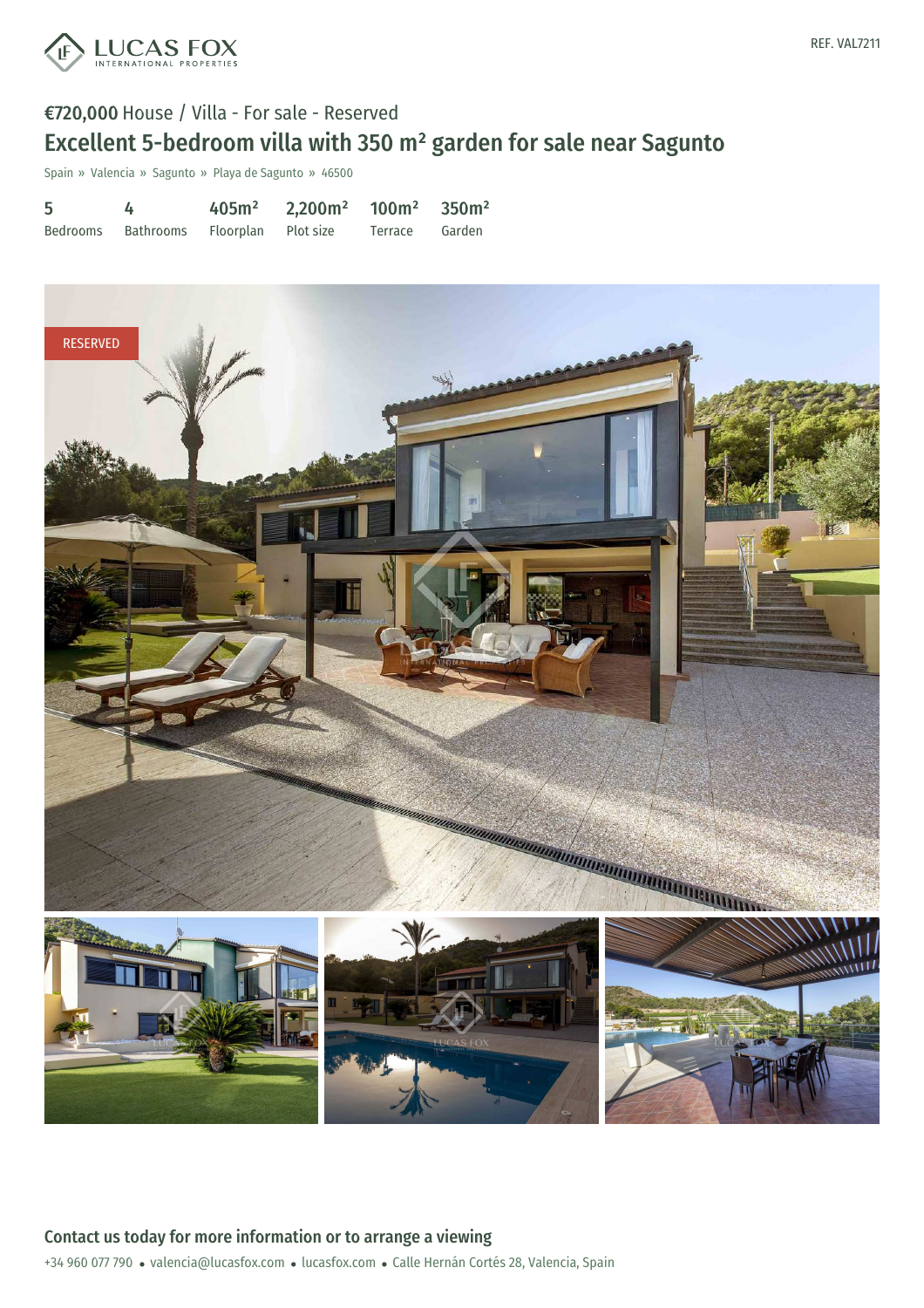

# €720,000 House / Villa - For sale - Reserved Excellent 5-bedroom villa with 350 m² garden for sale near Sagunto

Spain » Valencia » Sagunto » Playa de Sagunto » 46500

| 5 |                                        | $405m^2$ 2,200m <sup>2</sup> 100m <sup>2</sup> 350m <sup>2</sup> |                |  |
|---|----------------------------------------|------------------------------------------------------------------|----------------|--|
|   | Bedrooms Bathrooms Floorplan Plot-size |                                                                  | Terrace Garden |  |

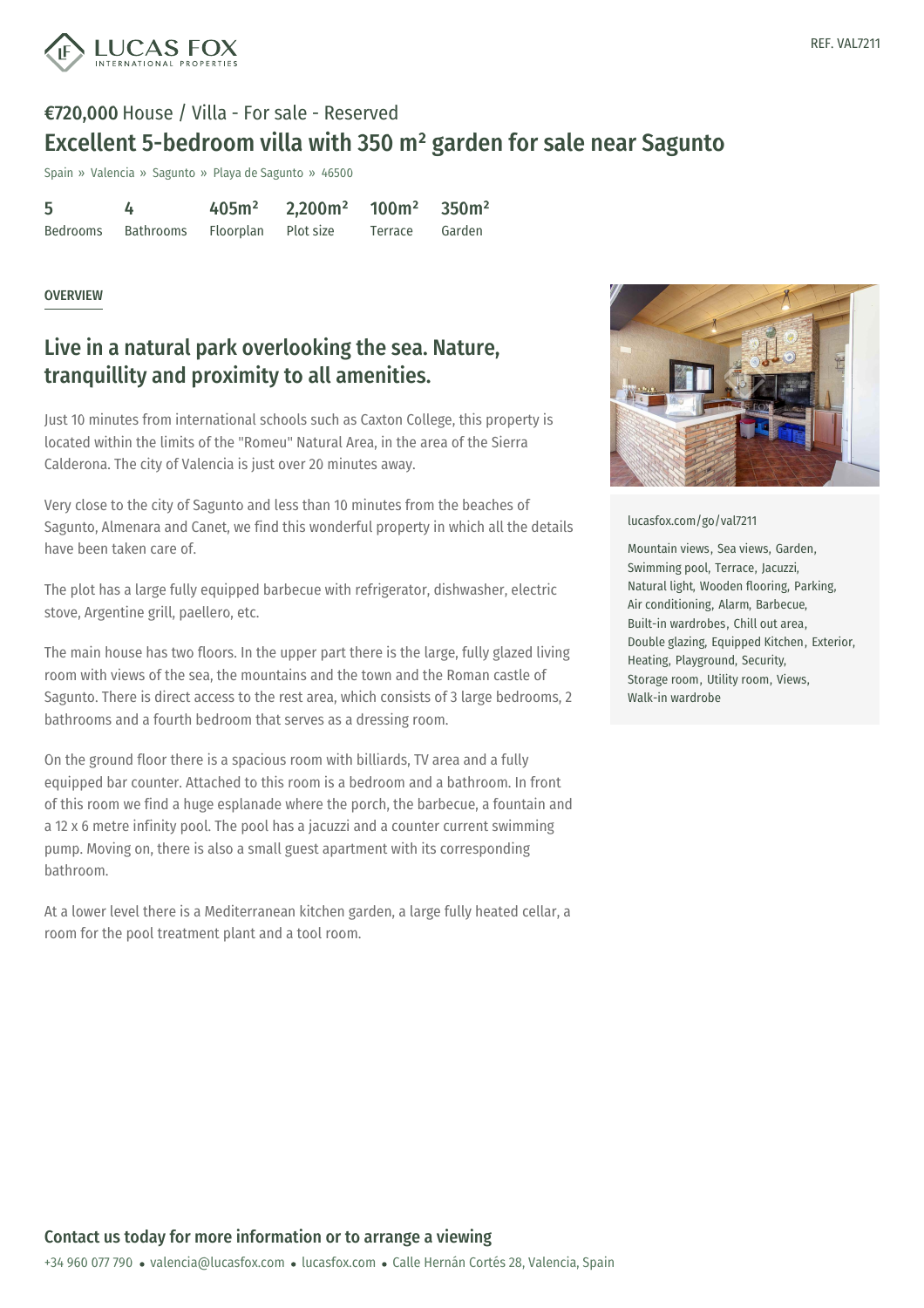

## €720,000 House / Villa - For sale - Reserved Excellent 5-bedroom villa with 350 m² garden for sale near Sagunto

Spain » Valencia » Sagunto » Playa de Sagunto » 46500

5 Bedrooms 4 Bathrooms 405m² Floorplan 2,200m² Plot size 100m² Terrace 350m² Garden

#### **OVERVIEW**

### Live in a natural park overlooking the sea. Nature, tranquillity and proximity to all amenities.

Just 10 minutes from international schools such as Caxton College, this property is located within the limits of the "Romeu" Natural Area, in the area of the Sierra Calderona. The city of Valencia is just over 20 minutes away.

Very close to the city of Sagunto and less than 10 minutes from the beaches of Sagunto, Almenara and Canet, we find this wonderful property in which all the details have been taken care of.

The plot has a large fully equipped barbecue with refrigerator, dishwasher, electric stove, Argentine grill, paellero, etc.

The main house has two floors. In the upper part there is the large, fully glazed living room with views of the sea, the mountains and the town and the Roman castle of Sagunto. There is direct access to the rest area, which consists of 3 large bedrooms, 2 bathrooms and a fourth bedroom that serves as a dressing room.

On the ground floor there is a spacious room with billiards, TV area and a fully equipped bar counter. Attached to this room is a bedroom and a bathroom. In front of this room we find a huge esplanade where the porch, the barbecue, a fountain and a 12 x 6 metre infinity pool. The pool has a jacuzzi and a counter current swimming pump. Moving on, there is also a small guest apartment with its corresponding bathroom.

At a lower level there is a Mediterranean kitchen garden, a large fully heated cellar, a room for the pool treatment plant and a tool room.



[lucasfox.com/go/val7211](https://www.lucasfox.com/go/val7211)

Mountain views, Sea views, Garden, Swimming pool, Terrace, Jacuzzi, Natural light, Wooden flooring, Parking, Air conditioning, Alarm, Barbecue, Built-in wardrobes, Chill out area, Double glazing, Equipped Kitchen, Exterior, Heating, Playground, Security, Storage room, Utility room, Views, Walk-in wardrobe